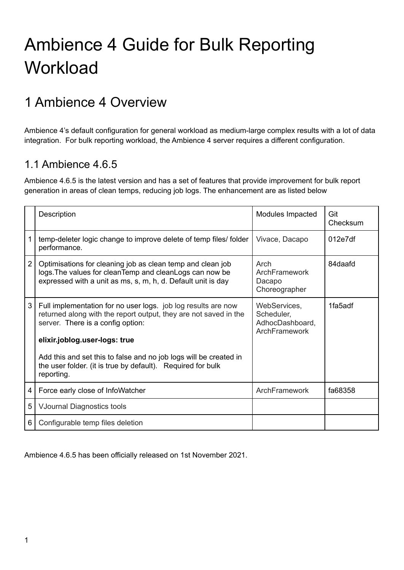# Ambience 4 Guide for Bulk Reporting **Workload**

## 1 Ambience 4 Overview

Ambience 4's default configuration for general workload as medium-large complex results with a lot of data integration. For bulk reporting workload, the Ambience 4 server requires a different configuration.

### 1.1 Ambience 4.6.5

Ambience 4.6.5 is the latest version and has a set of features that provide improvement for bulk report generation in areas of clean temps, reducing job logs. The enhancement are as listed below

|                | Description                                                                                                                                                                                             | Modules Impacted                                               | Git<br>Checksum |
|----------------|---------------------------------------------------------------------------------------------------------------------------------------------------------------------------------------------------------|----------------------------------------------------------------|-----------------|
|                | temp-deleter logic change to improve delete of temp files/folder<br>performance.                                                                                                                        | Vivace, Dacapo                                                 | 012e7df         |
| $\overline{2}$ | Optimisations for cleaning job as clean temp and clean job<br>logs. The values for clean Temp and clean Logs can now be<br>expressed with a unit as ms, s, m, h, d. Default unit is day                 | Arch<br>ArchFramework<br>Dacapo<br>Choreographer               | 84daafd         |
| 3              | Full implementation for no user logs. job log results are now<br>returned along with the report output, they are not saved in the<br>server. There is a config option:<br>elixir.joblog.user-logs: true | WebServices,<br>Scheduler,<br>AdhocDashboard,<br>ArchFramework | 1fa5adf         |
|                | Add this and set this to false and no job logs will be created in<br>the user folder. (it is true by default). Required for bulk<br>reporting.                                                          |                                                                |                 |
| 4              | Force early close of InfoWatcher                                                                                                                                                                        | ArchFramework                                                  | fa68358         |
| 5              | <b>VJournal Diagnostics tools</b>                                                                                                                                                                       |                                                                |                 |
| 6              | Configurable temp files deletion                                                                                                                                                                        |                                                                |                 |

Ambience 4.6.5 has been officially released on 1st November 2021.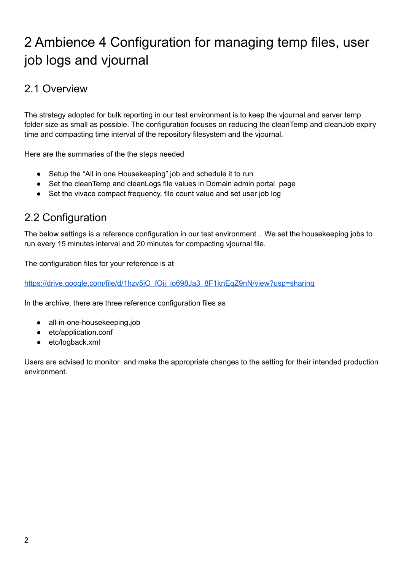## 2 Ambience 4 Configuration for managing temp files, user job logs and vjournal

### 2.1 Overview

The strategy adopted for bulk reporting in our test environment is to keep the vjournal and server temp folder size as small as possible. The configuration focuses on reducing the cleanTemp and cleanJob expiry time and compacting time interval of the repository filesystem and the vjournal.

Here are the summaries of the the steps needed

- Setup the "All in one Housekeeping" job and schedule it to run
- Set the cleanTemp and cleanLogs file values in Domain admin portal page
- Set the vivace compact frequency, file count value and set user job log

### 2.2 Configuration

The below settings is a reference configuration in our test environment . We set the housekeeping jobs to run every 15 minutes interval and 20 minutes for compacting vjournal file.

The configuration files for your reference is at

[https://drive.google.com/file/d/1hzv5jO\\_fOij\\_io698Ja3\\_8F1knEqZ9nN/view?usp=sharing](https://drive.google.com/file/d/1hzv5jO_fOij_io698Ja3_8F1knEqZ9nN/view?usp=sharing)

In the archive, there are three reference configuration files as

- all-in-one-housekeeping.job
- etc/application.conf
- etc/logback.xml

Users are advised to monitor and make the appropriate changes to the setting for their intended production environment.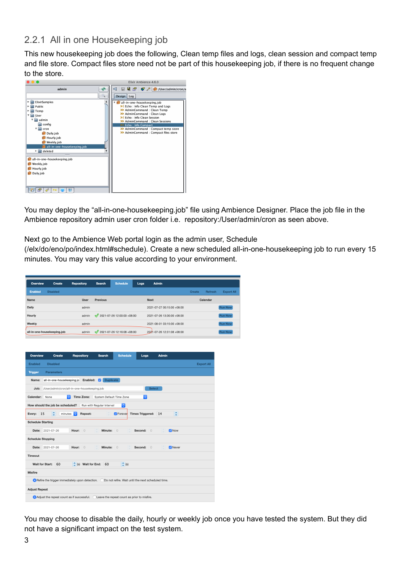#### 2.2.1 All in one Housekeeping job

This new housekeeping job does the following, Clean temp files and logs, clean session and compact temp and file store. Compact files store need not be part of this housekeeping job, if there is no frequent change to the store.



You may deploy the "all-in-one-housekeeping.job" file using Ambience Designer. Place the job file in the Ambience repository admin user cron folder i.e. repository:/User/admin/cron as seen above.

Next go to the Ambience Web portal login as the admin user, Schedule

(/elx/do/eno/po/index.html#schedule). Create a new scheduled all-in-one-housekeeping job to run every 15 minutes. You may vary this value according to your environment.

| Overview       | Create                      | <b>Repository</b> | Search          | <b>Schedule</b>                  | Logs | Admin                      |               |          |                   |
|----------------|-----------------------------|-------------------|-----------------|----------------------------------|------|----------------------------|---------------|----------|-------------------|
| <b>Enabled</b> | <b>Disabled</b>             |                   |                 |                                  |      |                            | <b>Create</b> | Refresh  | <b>Export All</b> |
| Name           |                             | User              | <b>Previous</b> |                                  |      | <b>Next</b>                |               | Calendar |                   |
| <b>Daily</b>   |                             | admin             |                 |                                  |      | 2021-07-27 00:15:00 +08:00 |               |          | <b>Run Now</b>    |
| Hourly         |                             | admin             |                 | $2021 - 07 - 26$ 12:00:00 +08:00 |      | 2021-07-26 13:00:00 +08:00 |               |          | <b>Run Now</b>    |
| Weekly         |                             | admin             |                 |                                  |      | 2021-08-01 03:15:00 +08:00 |               |          | <b>Run Now</b>    |
|                | all-in-one-housekeeping.job | admin             | $\mathscr{L}$   | 2021-07-26 12:16:08 +08:00       |      | 2021-07-26 12:31:08 +08:00 |               |          | <b>Run Now</b>    |

| Overview                 | Create                                                                                 | <b>Repository</b>             | <b>Search</b>             | <b>Schedule</b>                                    | Logs                    | Admin        |                   |
|--------------------------|----------------------------------------------------------------------------------------|-------------------------------|---------------------------|----------------------------------------------------|-------------------------|--------------|-------------------|
| <b>Enabled</b>           | <b>Disabled</b>                                                                        |                               |                           |                                                    |                         |              | <b>Export All</b> |
| <b>Trigger</b>           | <b>Parameters</b>                                                                      |                               |                           |                                                    |                         |              |                   |
| Name:                    | all-in-one-housekeeping.jo                                                             | Enabled: V                    | <b>Duplicate</b>          |                                                    |                         |              |                   |
| Job:                     | /User/admin/cron/all-in-one-housekeeping.job                                           |                               |                           |                                                    | <b>Select</b>           |              |                   |
| Calendar:                | $\Diamond$<br>None                                                                     | <b>Time Zone:</b>             | System Default Time Zone  |                                                    | $\ddot{\circ}$          |              |                   |
|                          | How should the job be scheduled?                                                       |                               | Run with Regular Interval | $ \hat{\mathbf{c}} $                               |                         |              |                   |
| 15<br>Every:             | ¢<br>minutes                                                                           | $ \diamond\rangle$<br>Repeat: |                           | <b>7</b> Forever                                   | <b>Times Triggered:</b> | ¢<br>14      |                   |
| <b>Schedule Starting</b> |                                                                                        |                               |                           |                                                    |                         |              |                   |
|                          | Date: 2021-07-26                                                                       | Hour:<br>$\Omega$             | Minute:                   | $\bigcirc$                                         | Second:<br>$\Omega$     | <b>Z</b> Now |                   |
| <b>Schedule Stopping</b> |                                                                                        |                               |                           |                                                    |                         |              |                   |
| Date:                    | 2021-07-26                                                                             | Hour:<br>$\Omega$             | Minute:                   | $\Omega$                                           | Second:<br>$\circ$      | Never        |                   |
| <b>Timeout</b>           |                                                                                        |                               |                           |                                                    |                         |              |                   |
| <b>Wait for Start:</b>   | 60                                                                                     | $\hat{z}$ (s) Wait for End:   | 60                        | $\div$ (s)                                         |                         |              |                   |
| <b>Misfire</b>           |                                                                                        |                               |                           |                                                    |                         |              |                   |
|                          | Refire the trigger immediately upon detection.                                         |                               |                           | Do not refire. Wait until the next scheduled time. |                         |              |                   |
| <b>Adjust Repeat</b>     |                                                                                        |                               |                           |                                                    |                         |              |                   |
|                          | Adjust the repeat count as if successful all eave the repeat count as prior to misfire |                               |                           |                                                    |                         |              |                   |

You may choose to disable the daily, hourly or weekly job once you have tested the system. But they did not have a significant impact on the test system.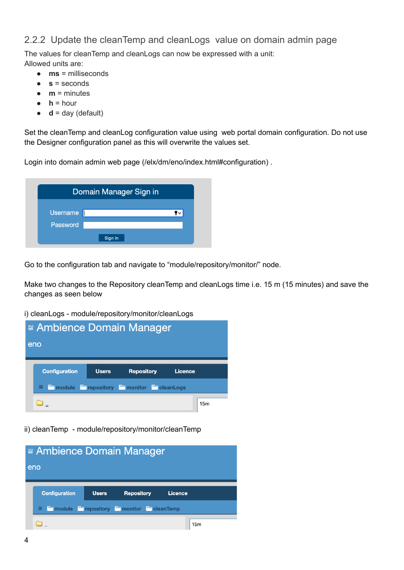#### 2.2.2 Update the cleanTemp and cleanLogs value on domain admin page

The values for cleanTemp and cleanLogs can now be expressed with a unit: Allowed units are:

- **ms** = milliseconds
- $s =$  seconds
- $\bullet$  **m** = minutes
- $\bullet$  **h** = hour
- $\bullet$  **d** = day (default)

Set the cleanTemp and cleanLog configuration value using web portal domain configuration. Do not use the Designer configuration panel as this will overwrite the values set.

Login into domain admin web page (/elx/dm/eno/index.html#configuration) .

|                 | Domain Manager Sign in |  |
|-----------------|------------------------|--|
| <b>Username</b> |                        |  |
|                 |                        |  |
| Password        |                        |  |

Go to the configuration tab and navigate to "module/repository/monitor/" node.

Make two changes to the Repository cleanTemp and cleanLogs time i.e. 15 m (15 minutes) and save the changes as seen below

i) cleanLogs - module/repository/monitor/cleanLogs



ii) cleanTemp - module/repository/monitor/cleanTemp

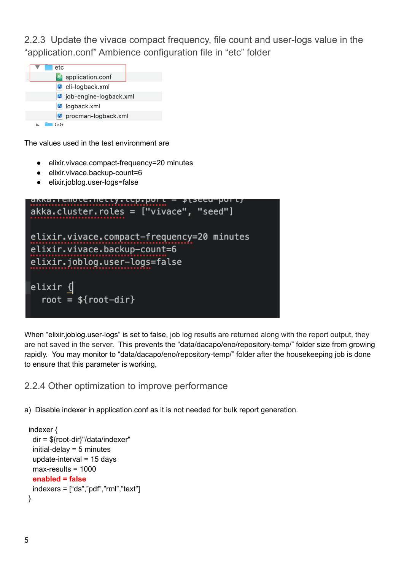2.2.3 Update the vivace compact frequency, file count and user-logs value in the "application.conf" Ambience configuration file in "etc" folder



The values used in the test environment are

- elixir.vivace.compact-frequency=20 minutes
- elixir.vivace.backup-count=6
- elixir.joblog.user-logs=false

```
anna. I cillule. Hetty. ttp. pui t
akka.cluster.roles = ["vivace", "seed"]
elixir.vivace.compact-frequency=20 minutes
elixir.vivace.backup-count=6
elixir.joblog.user-logs=false
|elixir {|root = $root-dir
```
When "elixir.joblog.user-logs" is set to false, job log results are returned along with the report output, they are not saved in the server. This prevents the "data/dacapo/eno/repository-temp/" folder size from growing rapidly. You may monitor to "data/dacapo/eno/repository-temp/" folder after the housekeeping job is done to ensure that this parameter is working,

2.2.4 Other optimization to improve performance

a) Disable indexer in application.conf as it is not needed for bulk report generation.

```
indexer {
 dir = ${root-dir}"/data/indexer"
 initial-delay = 5 minutes
 update-interval = 15 days
 max-results = 1000
 enabled = false
 indexers = ['ds", "pdf", "rml", "text"]}
```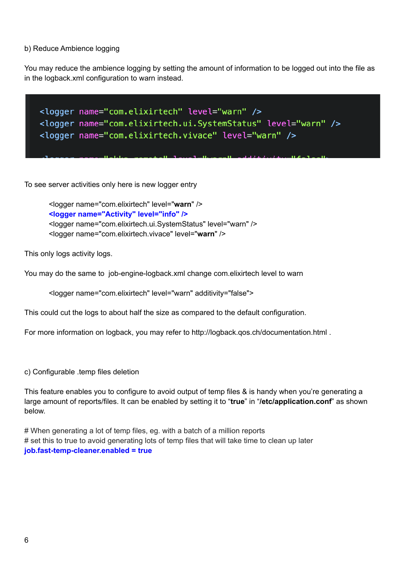b) Reduce Ambience logging

You may reduce the ambience logging by setting the amount of information to be logged out into the file as in the logback.xml configuration to warn instead.



To see server activities only here is new logger entry

<logger name="com.elixirtech" level="**warn**" /> **<logger name="Activity" level="info" />** <logger name="com.elixirtech.ui.SystemStatus" level="warn" /> <logger name="com.elixirtech.vivace" level="**warn**" />

This only logs activity logs.

You may do the same to job-engine-logback.xml change com.elixirtech level to warn

<logger name="com.elixirtech" level="warn" additivity="false">

This could cut the logs to about half the size as compared to the default configuration.

For more information on logback, you may refer to http://logback.qos.ch/documentation.html .

c) Configurable .temp files deletion

This feature enables you to configure to avoid output of temp files & is handy when you're generating a large amount of reports/files. It can be enabled by setting it to "**true**" in "**/etc/application.conf**" as shown below.

# When generating a lot of temp files, eg. with a batch of a million reports # set this to true to avoid generating lots of temp files that will take time to clean up later **job.fast-temp-cleaner.enabled = true**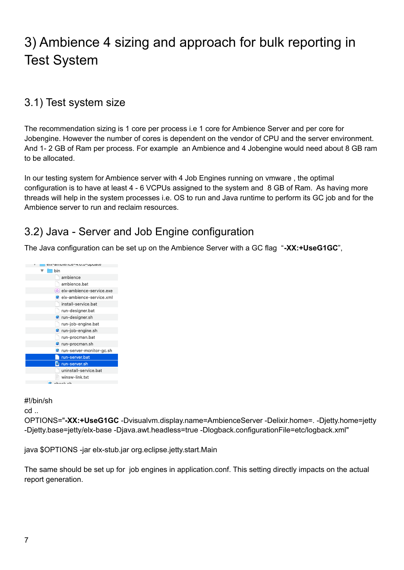## 3) Ambience 4 sizing and approach for bulk reporting in Test System

### 3.1) Test system size

The recommendation sizing is 1 core per process i.e 1 core for Ambience Server and per core for Jobengine. However the number of cores is dependent on the vendor of CPU and the server environment. And 1- 2 GB of Ram per process. For example an Ambience and 4 Jobengine would need about 8 GB ram to be allocated.

In our testing system for Ambience server with 4 Job Engines running on vmware , the optimal configuration is to have at least 4 - 6 VCPUs assigned to the system and 8 GB of Ram. As having more threads will help in the system processes i.e. OS to run and Java runtime to perform its GC job and for the Ambience server to run and reclaim resources.

## 3.2) Java - Server and Job Engine configuration

The Java configuration can be set up on the Ambience Server with a GC flag "**-XX:+UseG1GC**",



#### #!/bin/sh

cd ..

OPTIONS="**-XX:+UseG1GC** -Dvisualvm.display.name=AmbienceServer -Delixir.home=. -Djetty.home=jetty -Djetty.base=jetty/elx-base -Djava.awt.headless=true -Dlogback.configurationFile=etc/logback.xml"

java \$OPTIONS -jar elx-stub.jar org.eclipse.jetty.start.Main

The same should be set up for job engines in application.conf. This setting directly impacts on the actual report generation.